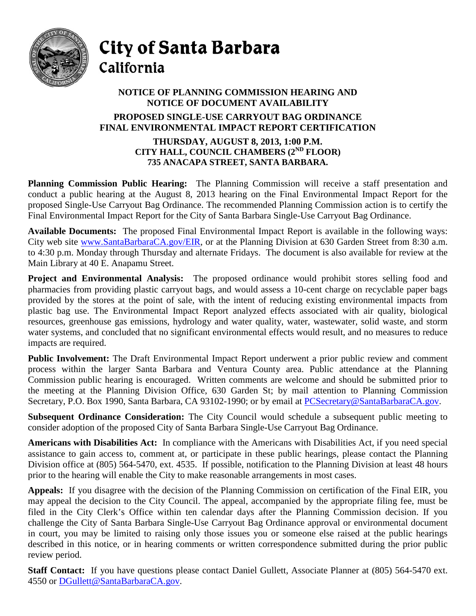

City of Santa Barbara California

## **NOTICE OF PLANNING COMMISSION HEARING AND NOTICE OF DOCUMENT AVAILABILITY PROPOSED SINGLE-USE CARRYOUT BAG ORDINANCE FINAL ENVIRONMENTAL IMPACT REPORT CERTIFICATION THURSDAY, AUGUST 8, 2013, 1:00 P.M. CITY HALL, COUNCIL CHAMBERS (2ND FLOOR) 735 ANACAPA STREET, SANTA BARBARA.**

**Planning Commission Public Hearing:** The Planning Commission will receive a staff presentation and conduct a public hearing at the August 8, 2013 hearing on the Final Environmental Impact Report for the proposed Single-Use Carryout Bag Ordinance. The recommended Planning Commission action is to certify the Final Environmental Impact Report for the City of Santa Barbara Single-Use Carryout Bag Ordinance.

**Available Documents:** The proposed Final Environmental Impact Report is available in the following ways: City web site [www.SantaBarbaraCA.gov/EIR,](http://www.santabarbaraca.gov/EIR) or at the Planning Division at 630 Garden Street from 8:30 a.m. to 4:30 p.m. Monday through Thursday and alternate Fridays. The document is also available for review at the Main Library at 40 E. Anapamu Street.

**Project and Environmental Analysis:** The proposed ordinance would prohibit stores selling food and pharmacies from providing plastic carryout bags, and would assess a 10-cent charge on recyclable paper bags provided by the stores at the point of sale, with the intent of reducing existing environmental impacts from plastic bag use. The Environmental Impact Report analyzed effects associated with air quality, biological resources, greenhouse gas emissions, hydrology and water quality, water, wastewater, solid waste, and storm water systems, and concluded that no significant environmental effects would result, and no measures to reduce impacts are required.

**Public Involvement:** The Draft Environmental Impact Report underwent a prior public review and comment process within the larger Santa Barbara and Ventura County area. Public attendance at the Planning Commission public hearing is encouraged. Written comments are welcome and should be submitted prior to the meeting at the Planning Division Office, 630 Garden St; by mail attention to Planning Commission Secretary, P.O. Box 1990, Santa Barbara, CA 93102-1990; or by email at PCSecretary@SantaBarbaraCA.gov.

**Subsequent Ordinance Consideration:** The City Council would schedule a subsequent public meeting to consider adoption of the proposed City of Santa Barbara Single-Use Carryout Bag Ordinance.

**Americans with Disabilities Act:** In compliance with the Americans with Disabilities Act, if you need special assistance to gain access to, comment at, or participate in these public hearings, please contact the Planning Division office at (805) 564-5470, ext. 4535. If possible, notification to the Planning Division at least 48 hours prior to the hearing will enable the City to make reasonable arrangements in most cases.

**Appeals:** If you disagree with the decision of the Planning Commission on certification of the Final EIR, you may appeal the decision to the City Council. The appeal, accompanied by the appropriate filing fee, must be filed in the City Clerk's Office within ten calendar days after the Planning Commission decision. If you challenge the City of Santa Barbara Single-Use Carryout Bag Ordinance approval or environmental document in court, you may be limited to raising only those issues you or someone else raised at the public hearings described in this notice, or in hearing comments or written correspondence submitted during the prior public review period.

**Staff Contact:** If you have questions please contact Daniel Gullett, Associate Planner at (805) 564-5470 ext. 4550 or [DGullett@SantaBarbaraCA.gov.](mailto:DGullett@SantaBarbaraCA.gov)